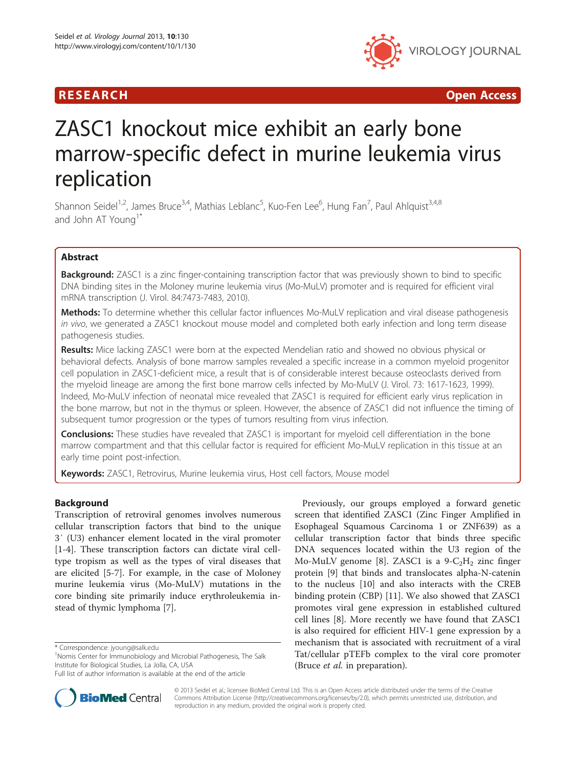## **RESEARCH CHINESE ARCH CHINESE ARCHITECT AND ACCESS**



# ZASC1 knockout mice exhibit an early bone marrow-specific defect in murine leukemia virus replication

Shannon Seidel<sup>1,2</sup>, James Bruce<sup>3,4</sup>, Mathias Leblanc<sup>5</sup>, Kuo-Fen Lee<sup>6</sup>, Hung Fan<sup>7</sup>, Paul Ahlquist<sup>3,4,8</sup> and John AT Young<sup>1\*</sup>

## Abstract

Background: ZASC1 is a zinc finger-containing transcription factor that was previously shown to bind to specific DNA binding sites in the Moloney murine leukemia virus (Mo-MuLV) promoter and is required for efficient viral mRNA transcription (J. Virol. 84:7473-7483, 2010).

Methods: To determine whether this cellular factor influences Mo-MuLV replication and viral disease pathogenesis in vivo, we generated a ZASC1 knockout mouse model and completed both early infection and long term disease pathogenesis studies.

Results: Mice lacking ZASC1 were born at the expected Mendelian ratio and showed no obvious physical or behavioral defects. Analysis of bone marrow samples revealed a specific increase in a common myeloid progenitor cell population in ZASC1-deficient mice, a result that is of considerable interest because osteoclasts derived from the myeloid lineage are among the first bone marrow cells infected by Mo-MuLV (J. Virol. 73: 1617-1623, 1999). Indeed, Mo-MuLV infection of neonatal mice revealed that ZASC1 is required for efficient early virus replication in the bone marrow, but not in the thymus or spleen. However, the absence of ZASC1 did not influence the timing of subsequent tumor progression or the types of tumors resulting from virus infection.

**Conclusions:** These studies have revealed that ZASC1 is important for myeloid cell differentiation in the bone marrow compartment and that this cellular factor is required for efficient Mo-MuLV replication in this tissue at an early time point post-infection.

Keywords: ZASC1, Retrovirus, Murine leukemia virus, Host cell factors, Mouse model

## Background

Transcription of retroviral genomes involves numerous cellular transcription factors that bind to the unique 3′ (U3) enhancer element located in the viral promoter [[1-4](#page-7-0)]. These transcription factors can dictate viral celltype tropism as well as the types of viral diseases that are elicited [\[5-7](#page-7-0)]. For example, in the case of Moloney murine leukemia virus (Mo-MuLV) mutations in the core binding site primarily induce erythroleukemia instead of thymic lymphoma [[7\]](#page-7-0).





© 2013 Seidel et al.; licensee BioMed Central Ltd. This is an Open Access article distributed under the terms of the Creative Commons Attribution License [\(http://creativecommons.org/licenses/by/2.0\)](http://creativecommons.org/licenses/by/2.0), which permits unrestricted use, distribution, and reproduction in any medium, provided the original work is properly cited.

<sup>\*</sup> Correspondence: [jyoung@salk.edu](mailto:jyoung@salk.edu) <sup>1</sup>

<sup>&</sup>lt;sup>1</sup>Nomis Center for Immunobiology and Microbial Pathogenesis, The Salk Institute for Biological Studies, La Jolla, CA, USA

Full list of author information is available at the end of the article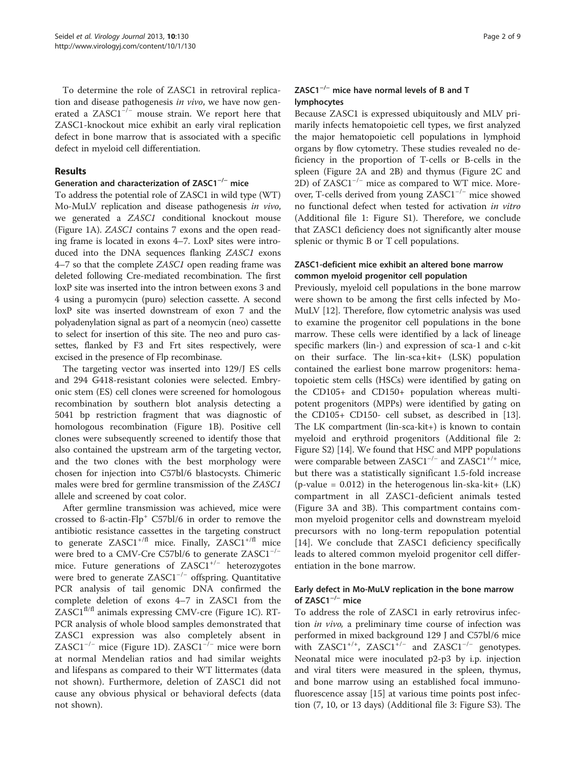To determine the role of ZASC1 in retroviral replication and disease pathogenesis in vivo, we have now generated a  $ZASC1^{-/-}$  mouse strain. We report here that ZASC1-knockout mice exhibit an early viral replication defect in bone marrow that is associated with a specific defect in myeloid cell differentiation.

#### Results

## Generation and characterization of ZASC1−/<sup>−</sup> mice

To address the potential role of ZASC1 in wild type (WT) Mo-MuLV replication and disease pathogenesis in vivo, we generated a ZASC1 conditional knockout mouse (Figure [1](#page-2-0)A). ZASC1 contains 7 exons and the open reading frame is located in exons 4–7. LoxP sites were introduced into the DNA sequences flanking *ZASC1* exons 4–7 so that the complete ZASC1 open reading frame was deleted following Cre-mediated recombination. The first loxP site was inserted into the intron between exons 3 and 4 using a puromycin (puro) selection cassette. A second loxP site was inserted downstream of exon 7 and the polyadenylation signal as part of a neomycin (neo) cassette to select for insertion of this site. The neo and puro cassettes, flanked by F3 and Frt sites respectively, were excised in the presence of Flp recombinase.

The targeting vector was inserted into 129/J ES cells and 294 G418-resistant colonies were selected. Embryonic stem (ES) cell clones were screened for homologous recombination by southern blot analysis detecting a 5041 bp restriction fragment that was diagnostic of homologous recombination (Figure [1](#page-2-0)B). Positive cell clones were subsequently screened to identify those that also contained the upstream arm of the targeting vector, and the two clones with the best morphology were chosen for injection into C57bl/6 blastocysts. Chimeric males were bred for germline transmission of the ZASC1 allele and screened by coat color.

After germline transmission was achieved, mice were crossed to ß-actin-Flp<sup>+</sup> C57bl/6 in order to remove the antibiotic resistance cassettes in the targeting construct to generate  $ZASC1^{+/fl}$  mice. Finally,  $ZASC1^{+/fl}$  mice were bred to a CMV-Cre C57bl/6 to generate ZASC1<sup>-/-</sup> mice. Future generations of ZASC1+/<sup>−</sup> heterozygotes were bred to generate ZASC1<sup>-/-</sup> offspring. Quantitative PCR analysis of tail genomic DNA confirmed the complete deletion of exons 4–7 in ZASC1 from the  $ZASC1<sup>f1/f1</sup>$  animals expressing CMV-cre (Figure [1C](#page-2-0)). RT-PCR analysis of whole blood samples demonstrated that ZASC1 expression was also completely absent in ZASC1−/<sup>−</sup> mice (Figure [1](#page-2-0)D). ZASC1−/<sup>−</sup> mice were born at normal Mendelian ratios and had similar weights and lifespans as compared to their WT littermates (data not shown). Furthermore, deletion of ZASC1 did not cause any obvious physical or behavioral defects (data not shown).

## ZASC1−/<sup>−</sup> mice have normal levels of B and T lymphocytes

Because ZASC1 is expressed ubiquitously and MLV primarily infects hematopoietic cell types, we first analyzed the major hematopoietic cell populations in lymphoid organs by flow cytometry. These studies revealed no deficiency in the proportion of T-cells or B-cells in the spleen (Figure [2A](#page-3-0) and [2B](#page-3-0)) and thymus (Figure [2C](#page-3-0) and [2D](#page-3-0)) of  $ZASC1^{-/-}$  mice as compared to WT mice. Moreover, T-cells derived from young ZASC1−/<sup>−</sup> mice showed no functional defect when tested for activation in vitro (Additional file [1:](#page-7-0) Figure S1). Therefore, we conclude that ZASC1 deficiency does not significantly alter mouse splenic or thymic B or T cell populations.

## ZASC1-deficient mice exhibit an altered bone marrow common myeloid progenitor cell population

Previously, myeloid cell populations in the bone marrow were shown to be among the first cells infected by Mo-MuLV [[12\]](#page-7-0). Therefore, flow cytometric analysis was used to examine the progenitor cell populations in the bone marrow. These cells were identified by a lack of lineage specific markers (lin-) and expression of sca-1 and c-kit on their surface. The lin-sca+kit+ (LSK) population contained the earliest bone marrow progenitors: hematopoietic stem cells (HSCs) were identified by gating on the CD105+ and CD150+ population whereas multipotent progenitors (MPPs) were identified by gating on the CD105+ CD150- cell subset, as described in [\[13](#page-7-0)]. The LK compartment (lin-sca-kit+) is known to contain myeloid and erythroid progenitors (Additional file [2](#page-7-0): Figure S2) [[14](#page-7-0)]. We found that HSC and MPP populations were comparable between  $ZASCl^{-/-}$  and  $ZASCl^{+/+}$  mice, but there was a statistically significant 1.5-fold increase  $(p$ -value = 0.012) in the heterogenous lin-ska-kit+  $(LK)$ compartment in all ZASC1-deficient animals tested (Figure [3](#page-4-0)A and [3](#page-4-0)B). This compartment contains common myeloid progenitor cells and downstream myeloid precursors with no long-term repopulation potential [[14\]](#page-7-0). We conclude that ZASC1 deficiency specifically leads to altered common myeloid progenitor cell differentiation in the bone marrow.

#### Early defect in Mo-MuLV replication in the bone marrow of ZASC1−/<sup>−</sup> mice

To address the role of ZASC1 in early retrovirus infection in vivo, a preliminary time course of infection was performed in mixed background 129 J and C57bl/6 mice with ZASC1<sup>+/+</sup>, ZASC1<sup>+/−</sup> and ZASC1<sup>-/−</sup> genotypes. Neonatal mice were inoculated p2-p3 by i.p. injection and viral titers were measured in the spleen, thymus, and bone marrow using an established focal immunofluorescence assay [[15\]](#page-7-0) at various time points post infection (7, 10, or 13 days) (Additional file [3](#page-7-0): Figure S3). The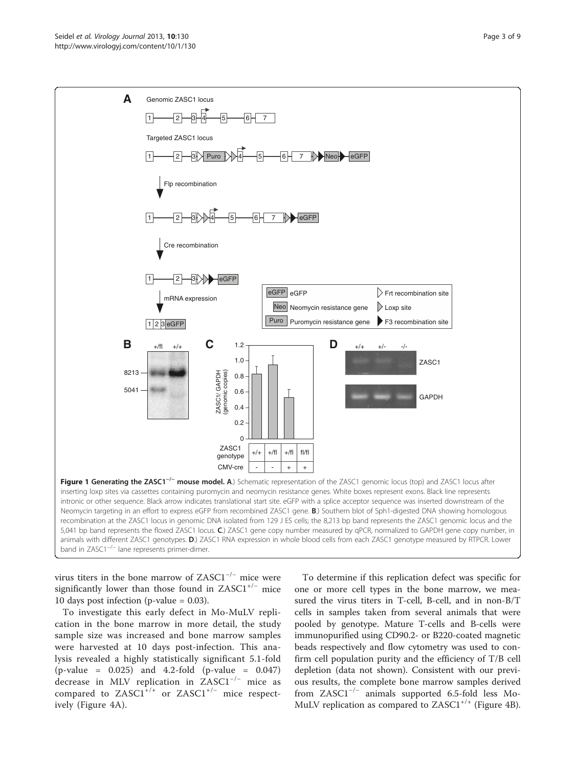<span id="page-2-0"></span>

virus titers in the bone marrow of ZASC1−/<sup>−</sup> mice were significantly lower than those found in  $ZASCl^{+/-}$  mice 10 days post infection (p-value = 0.03).

To investigate this early defect in Mo-MuLV replication in the bone marrow in more detail, the study sample size was increased and bone marrow samples were harvested at 10 days post-infection. This analysis revealed a highly statistically significant 5.1-fold (p-value = 0.025) and 4.2-fold (p-value = 0.047) decrease in MLV replication in ZASC1−/<sup>−</sup> mice as compared to ZASC1+/+ or ZASC1+/<sup>−</sup> mice respectively (Figure [4A](#page-5-0)).

To determine if this replication defect was specific for one or more cell types in the bone marrow, we measured the virus titers in T-cell, B-cell, and in non-B/T cells in samples taken from several animals that were pooled by genotype. Mature T-cells and B-cells were immunopurified using CD90.2- or B220-coated magnetic beads respectively and flow cytometry was used to confirm cell population purity and the efficiency of T/B cell depletion (data not shown). Consistent with our previous results, the complete bone marrow samples derived from ZASC1−/<sup>−</sup> animals supported 6.5-fold less Mo-MuLV replication as compared to  $ZASC1^{+/+}$  (Figure [4](#page-5-0)B).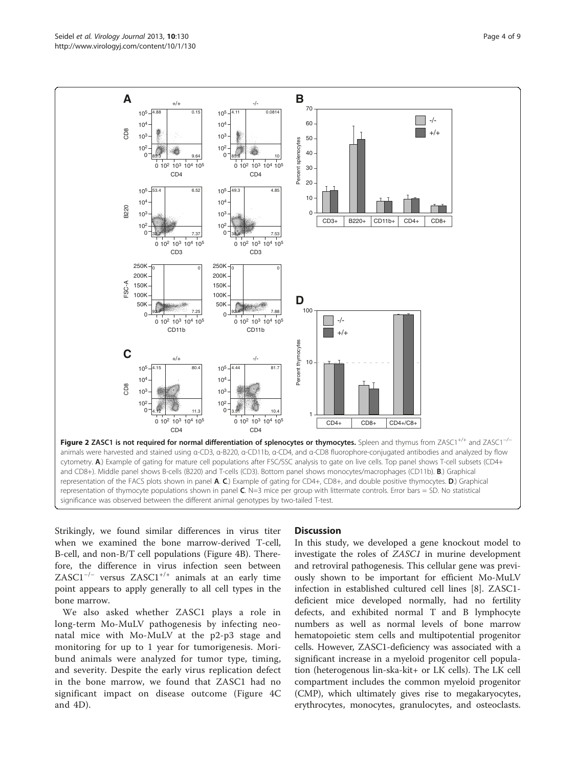<span id="page-3-0"></span>

Strikingly, we found similar differences in virus titer when we examined the bone marrow-derived T-cell, B-cell, and non-B/T cell populations (Figure [4](#page-5-0)B). Therefore, the difference in virus infection seen between ZASC1−/<sup>−</sup> versus ZASC1+/+ animals at an early time point appears to apply generally to all cell types in the bone marrow.

We also asked whether ZASC1 plays a role in long-term Mo-MuLV pathogenesis by infecting neonatal mice with Mo-MuLV at the p2-p3 stage and monitoring for up to 1 year for tumorigenesis. Moribund animals were analyzed for tumor type, timing, and severity. Despite the early virus replication defect in the bone marrow, we found that ZASC1 had no significant impact on disease outcome (Figure [4C](#page-5-0) and [4](#page-5-0)D).

#### **Discussion**

In this study, we developed a gene knockout model to investigate the roles of ZASC1 in murine development and retroviral pathogenesis. This cellular gene was previously shown to be important for efficient Mo-MuLV infection in established cultured cell lines [\[8](#page-7-0)]. ZASC1 deficient mice developed normally, had no fertility defects, and exhibited normal T and B lymphocyte numbers as well as normal levels of bone marrow hematopoietic stem cells and multipotential progenitor cells. However, ZASC1-deficiency was associated with a significant increase in a myeloid progenitor cell population (heterogenous lin-ska-kit+ or LK cells). The LK cell compartment includes the common myeloid progenitor (CMP), which ultimately gives rise to megakaryocytes, erythrocytes, monocytes, granulocytes, and osteoclasts.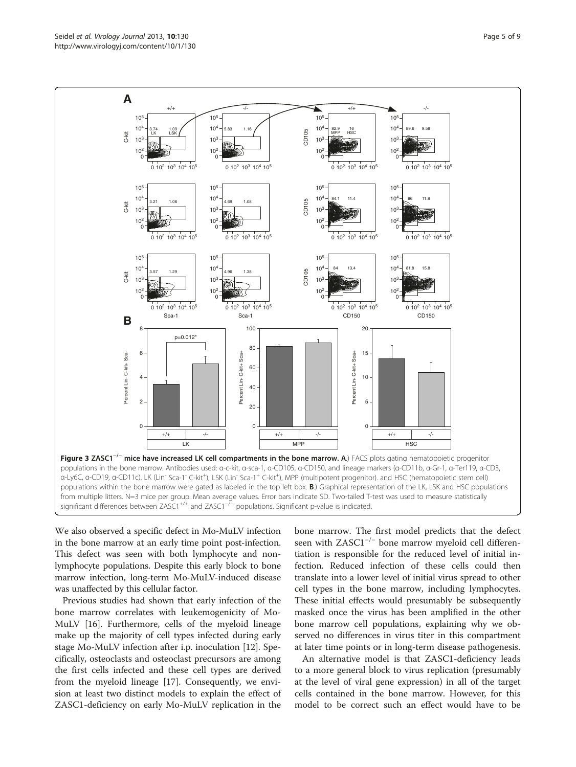<span id="page-4-0"></span>

We also observed a specific defect in Mo-MuLV infection in the bone marrow at an early time point post-infection. This defect was seen with both lymphocyte and nonlymphocyte populations. Despite this early block to bone marrow infection, long-term Mo-MuLV-induced disease was unaffected by this cellular factor.

Previous studies had shown that early infection of the bone marrow correlates with leukemogenicity of Mo-MuLV [[16\]](#page-7-0). Furthermore, cells of the myeloid lineage make up the majority of cell types infected during early stage Mo-MuLV infection after i.p. inoculation [\[12](#page-7-0)]. Specifically, osteoclasts and osteoclast precursors are among the first cells infected and these cell types are derived from the myeloid lineage [[17\]](#page-7-0). Consequently, we envision at least two distinct models to explain the effect of ZASC1-deficiency on early Mo-MuLV replication in the

bone marrow. The first model predicts that the defect seen with ZASC1−/<sup>−</sup> bone marrow myeloid cell differentiation is responsible for the reduced level of initial infection. Reduced infection of these cells could then translate into a lower level of initial virus spread to other cell types in the bone marrow, including lymphocytes. These initial effects would presumably be subsequently masked once the virus has been amplified in the other bone marrow cell populations, explaining why we observed no differences in virus titer in this compartment at later time points or in long-term disease pathogenesis.

An alternative model is that ZASC1-deficiency leads to a more general block to virus replication (presumably at the level of viral gene expression) in all of the target cells contained in the bone marrow. However, for this model to be correct such an effect would have to be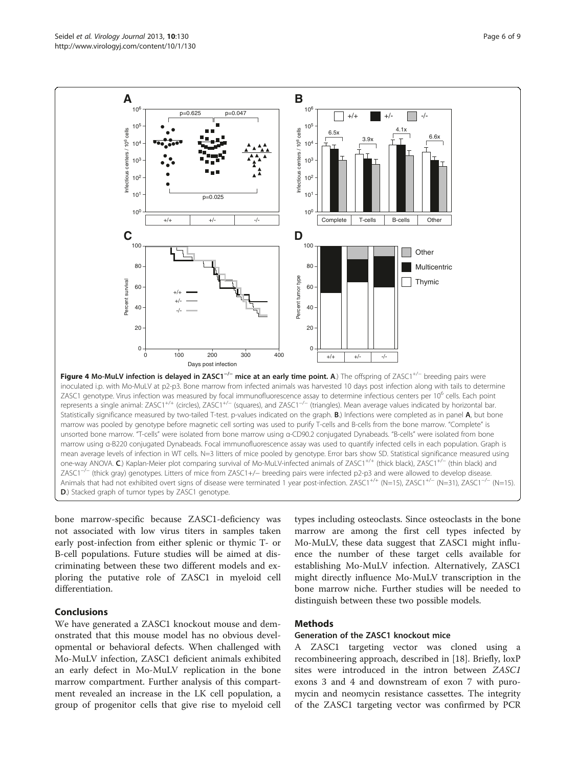bone marrow-specific because ZASC1-deficiency was not associated with low virus titers in samples taken early post-infection from either splenic or thymic T- or B-cell populations. Future studies will be aimed at discriminating between these two different models and exploring the putative role of ZASC1 in myeloid cell differentiation.

D.) Stacked graph of tumor types by ZASC1 genotype.

#### Conclusions

We have generated a ZASC1 knockout mouse and demonstrated that this mouse model has no obvious developmental or behavioral defects. When challenged with Mo-MuLV infection, ZASC1 deficient animals exhibited an early defect in Mo-MuLV replication in the bone marrow compartment. Further analysis of this compartment revealed an increase in the LK cell population, a group of progenitor cells that give rise to myeloid cell

types including osteoclasts. Since osteoclasts in the bone marrow are among the first cell types infected by Mo-MuLV, these data suggest that ZASC1 might influence the number of these target cells available for establishing Mo-MuLV infection. Alternatively, ZASC1 might directly influence Mo-MuLV transcription in the bone marrow niche. Further studies will be needed to distinguish between these two possible models.

### Methods

#### Generation of the ZASC1 knockout mice

A ZASC1 targeting vector was cloned using a recombineering approach, described in [[18\]](#page-8-0). Briefly, loxP sites were introduced in the intron between ZASC1 exons 3 and 4 and downstream of exon 7 with puromycin and neomycin resistance cassettes. The integrity of the ZASC1 targeting vector was confirmed by PCR

<span id="page-5-0"></span>

mean average levels of infection in WT cells. N=3 litters of mice pooled by genotype. Error bars show SD. Statistical significance measured using one-way ANOVA. C.) Kaplan-Meier plot comparing survival of Mo-MuLV-infected animals of ZASC1<sup>+/+</sup> (thick black), ZASC1<sup>+/−</sup> (thin black) and ZASC1−/<sup>−</sup> (thick gray) genotypes. Litters of mice from ZASC1+/− breeding pairs were infected p2-p3 and were allowed to develop disease. Animals that had not exhibited overt signs of disease were terminated 1 year post-infection. ZASC1<sup>+/+</sup> (N=15), ZASC1<sup>+/−</sup> (N=31), ZASC1<sup>-/−</sup> (N=31), ZASC1<sup>-/−</sup> (N=15).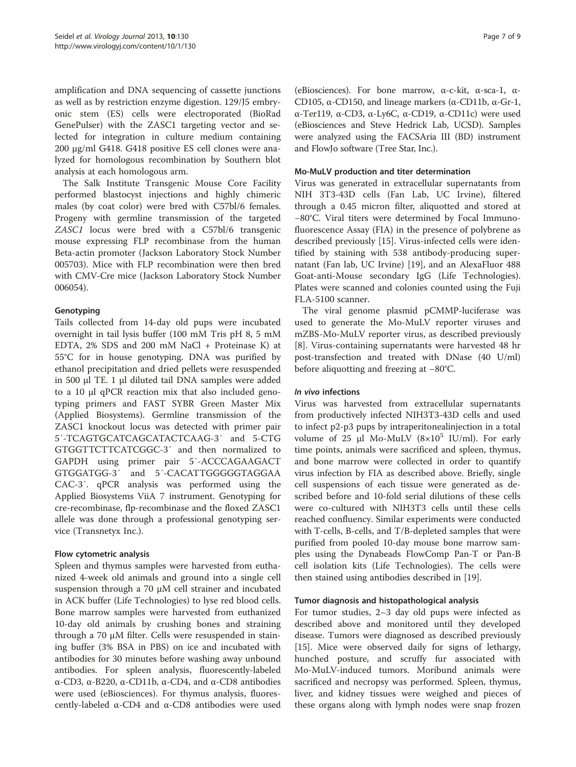amplification and DNA sequencing of cassette junctions as well as by restriction enzyme digestion. 129/J5 embryonic stem (ES) cells were electroporated (BioRad GenePulser) with the ZASC1 targeting vector and selected for integration in culture medium containing 200 μg/ml G418. G418 positive ES cell clones were analyzed for homologous recombination by Southern blot analysis at each homologous arm.

The Salk Institute Transgenic Mouse Core Facility performed blastocyst injections and highly chimeric males (by coat color) were bred with C57bl/6 females. Progeny with germline transmission of the targeted ZASC1 locus were bred with a C57bl/6 transgenic mouse expressing FLP recombinase from the human Beta-actin promoter (Jackson Laboratory Stock Number 005703). Mice with FLP recombination were then bred with CMV-Cre mice (Jackson Laboratory Stock Number 006054).

## Genotyping

Tails collected from 14-day old pups were incubated overnight in tail lysis buffer (100 mM Tris pH 8, 5 mM EDTA, 2% SDS and 200 mM NaCl + Proteinase K) at 55°C for in house genotyping. DNA was purified by ethanol precipitation and dried pellets were resuspended in 500 μl TE. 1 μl diluted tail DNA samples were added to a 10 μl qPCR reaction mix that also included genotyping primers and FAST SYBR Green Master Mix (Applied Biosystems). Germline transmission of the ZASC1 knockout locus was detected with primer pair 5′-TCAGTGCATCAGCATACTCAAG-3′ and 5-CTG GTGGTTCTTCATCGGC-3′ and then normalized to GAPDH using primer pair 5′-ACCCAGAAGACT GTGGATGG-3′ and 5′-CACATTGGGGGTAGGAA CAC-3′. qPCR analysis was performed using the Applied Biosystems ViiA 7 instrument. Genotyping for cre-recombinase, flp-recombinase and the floxed ZASC1 allele was done through a professional genotyping service (Transnetyx Inc.).

#### Flow cytometric analysis

Spleen and thymus samples were harvested from euthanized 4-week old animals and ground into a single cell suspension through a 70 μM cell strainer and incubated in ACK buffer (Life Technologies) to lyse red blood cells. Bone marrow samples were harvested from euthanized 10-day old animals by crushing bones and straining through a 70 μM filter. Cells were resuspended in staining buffer (3% BSA in PBS) on ice and incubated with antibodies for 30 minutes before washing away unbound antibodies. For spleen analysis, fluorescently-labeled α-CD3, α-B220, α-CD11b, α-CD4, and α-CD8 antibodies were used (eBiosciences). For thymus analysis, fluorescently-labeled α-CD4 and α-CD8 antibodies were used

(eBiosciences). For bone marrow, α-c-kit, α-sca-1, α-CD105, α-CD150, and lineage markers (α-CD11b, α-Gr-1, α-Ter119, α-CD3, α-Ly6C, α-CD19, α-CD11c) were used (eBiosciences and Steve Hedrick Lab, UCSD). Samples were analyzed using the FACSAria III (BD) instrument and FlowJo software (Tree Star, Inc.).

### Mo-MuLV production and titer determination

Virus was generated in extracellular supernatants from NIH 3T3-43D cells (Fan Lab, UC Irvine), filtered through a 0.45 micron filter, aliquotted and stored at −80°C. Viral titers were determined by Focal Immunofluorescence Assay (FIA) in the presence of polybrene as described previously [[15](#page-7-0)]. Virus-infected cells were identified by staining with 538 antibody-producing supernatant (Fan lab, UC Irvine) [[19\]](#page-8-0), and an AlexaFluor 488 Goat-anti-Mouse secondary IgG (Life Technologies). Plates were scanned and colonies counted using the Fuji FLA-5100 scanner.

The viral genome plasmid pCMMP-luciferase was used to generate the Mo-MuLV reporter viruses and mZBS-Mo-MuLV reporter virus, as described previously [[8\]](#page-7-0). Virus-containing supernatants were harvested 48 hr post-transfection and treated with DNase (40 U/ml) before aliquotting and freezing at −80°C.

#### In vivo infections

Virus was harvested from extracellular supernatants from productively infected NIH3T3-43D cells and used to infect p2-p3 pups by intraperitonealinjection in a total volume of 25 μl Mo-MuLV  $(8\times10^5$  IU/ml). For early time points, animals were sacrificed and spleen, thymus, and bone marrow were collected in order to quantify virus infection by FIA as described above. Briefly, single cell suspensions of each tissue were generated as described before and 10-fold serial dilutions of these cells were co-cultured with NIH3T3 cells until these cells reached confluency. Similar experiments were conducted with T-cells, B-cells, and T/B-depleted samples that were purified from pooled 10-day mouse bone marrow samples using the Dynabeads FlowComp Pan-T or Pan-B cell isolation kits (Life Technologies). The cells were then stained using antibodies described in [\[19\]](#page-8-0).

#### Tumor diagnosis and histopathological analysis

For tumor studies, 2–3 day old pups were infected as described above and monitored until they developed disease. Tumors were diagnosed as described previously [[15\]](#page-7-0). Mice were observed daily for signs of lethargy, hunched posture, and scruffy fur associated with Mo-MuLV-induced tumors. Moribund animals were sacrificed and necropsy was performed. Spleen, thymus, liver, and kidney tissues were weighed and pieces of these organs along with lymph nodes were snap frozen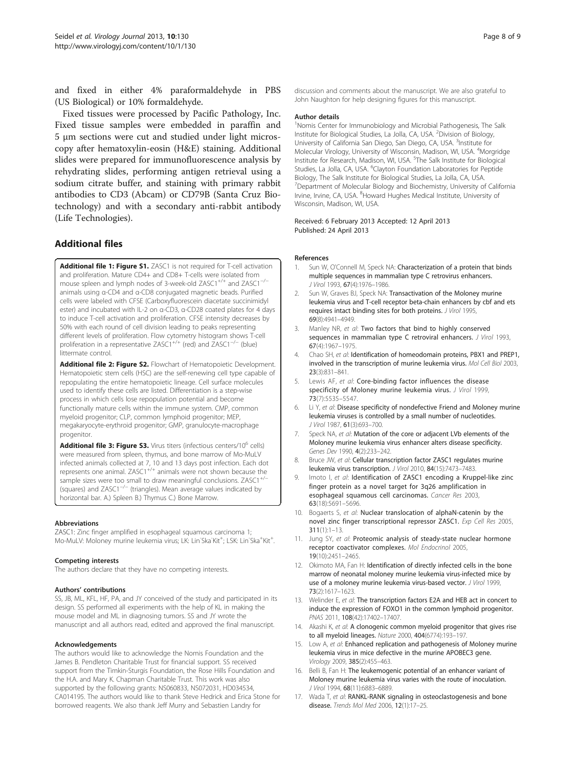<span id="page-7-0"></span>and fixed in either 4% paraformaldehyde in PBS (US Biological) or 10% formaldehyde.

Fixed tissues were processed by Pacific Pathology, Inc. Fixed tissue samples were embedded in paraffin and 5 μm sections were cut and studied under light microscopy after hematoxylin-eosin (H&E) staining. Additional slides were prepared for immunofluorescence analysis by rehydrating slides, performing antigen retrieval using a sodium citrate buffer, and staining with primary rabbit antibodies to CD3 (Abcam) or CD79B (Santa Cruz Biotechnology) and with a secondary anti-rabbit antibody (Life Technologies).

## Additional files

[Additional file 1: Figure S1.](http://www.biomedcentral.com/content/supplementary/1743-422X-10-130-S1.pdf) ZASC1 is not required for T-cell activation and proliferation. Mature CD4+ and CD8+ T-cells were isolated from mouse spleen and lymph nodes of 3-week-old ZASC1<sup>+/+</sup> and ZASC1<sup>-/−</sup> animals using α-CD4 and α-CD8 conjugated magnetic beads. Purified cells were labeled with CFSE (Carboxyfluorescein diacetate succinimidyl ester) and incubated with IL-2 on α-CD3, α-CD28 coated plates for 4 days to induce T-cell activation and proliferation. CFSE intensity decreases by 50% with each round of cell division leading to peaks representing different levels of proliferation. Flow cytometry histogram shows T-cell proliferation in a representative ZASC1<sup>+/+</sup> (red) and ZASC1<sup>-/−</sup> (blue) littermate control.

[Additional file 2: Figure S2.](http://www.biomedcentral.com/content/supplementary/1743-422X-10-130-S2.pdf) Flowchart of Hematopoietic Development. Hematopoietic stem cells (HSC) are the self-renewing cell type capable of repopulating the entire hematopoietic lineage. Cell surface molecules used to identify these cells are listed. Differentiation is a step-wise process in which cells lose repopulation potential and become functionally mature cells within the immune system. CMP, common myeloid progenitor; CLP, common lymphoid progenitor; MEP, megakaryocyte-erythroid progenitor; GMP, granulocyte-macrophage progenitor.

[Additional file 3: Figure S3.](http://www.biomedcentral.com/content/supplementary/1743-422X-10-130-S3.pdf) Virus titers (infectious centers/10<sup>6</sup> cells) were measured from spleen, thymus, and bone marrow of Mo-MuLV infected animals collected at 7, 10 and 13 days post infection. Each dot represents one animal. ZASC1<sup>+/+</sup> animals were not shown because the sample sizes were too small to draw meaningful conclusions. ZASC1<sup>+/-</sup> (squares) and ZASC1−/<sup>−</sup> (triangles). Mean average values indicated by horizontal bar. A.) Spleen B.) Thymus C.) Bone Marrow.

#### Abbreviations

ZASC1: Zinc finger amplified in esophageal squamous carcinoma 1; Mo-MuLV: Moloney murine leukemia virus; LK: Lin<sup>-</sup>Ska<sup>-</sup>Kit<sup>+</sup>; LSK: Lin<sup>-</sup>Ska<sup>+</sup>Kit<sup>+</sup> .

#### Competing interests

The authors declare that they have no competing interests.

#### Authors' contributions

SS, JB, ML, KFL, HF, PA, and JY conceived of the study and participated in its design. SS performed all experiments with the help of KL in making the mouse model and ML in diagnosing tumors. SS and JY wrote the manuscript and all authors read, edited and approved the final manuscript.

#### Acknowledgements

The authors would like to acknowledge the Nomis Foundation and the James B. Pendleton Charitable Trust for financial support. SS received support from the Timkin-Sturgis Foundation, the Rose Hills Foundation and the H.A. and Mary K. Chapman Charitable Trust. This work was also supported by the following grants: NS060833, NS072031, HD034534, CA014195. The authors would like to thank Steve Hedrick and Erica Stone for borrowed reagents. We also thank Jeff Murry and Sebastien Landry for

discussion and comments about the manuscript. We are also grateful to John Naughton for help designing figures for this manuscript.

#### Author details

<sup>1</sup>Nomis Center for Immunobiology and Microbial Pathogenesis, The Salk Institute for Biological Studies, La Jolla, CA, USA. <sup>2</sup>Division of Biology, University of California San Diego, San Diego, CA, USA. <sup>3</sup>Institute for Molecular Virology, University of Wisconsin, Madison, WI, USA. <sup>4</sup>Morgridge Institute for Research, Madison, WI, USA.<sup>5</sup>The Salk Institute for Biological Studies, La Jolla, CA, USA. <sup>6</sup>Clayton Foundation Laboratories for Peptide Biology, The Salk Institute for Biological Studies, La Jolla, CA, USA. <sup>7</sup> Department of Molecular Biology and Biochemistry, University of California Irvine, Irvine, CA, USA. <sup>8</sup> Howard Hughes Medical Institute, University of Wisconsin, Madison, WI, USA.

#### Received: 6 February 2013 Accepted: 12 April 2013 Published: 24 April 2013

#### References

- 1. Sun W, O'Connell M, Speck NA: Characterization of a protein that binds multiple sequences in mammalian type C retrovirus enhancers. J Virol 1993, 67(4):1976–1986.
- 2. Sun W, Graves BJ, Speck NA: Transactivation of the Moloney murine leukemia virus and T-cell receptor beta-chain enhancers by cbf and ets requires intact binding sites for both proteins. J Virol 1995, 69(8):4941–4949.
- 3. Manley NR, et al: Two factors that bind to highly conserved sequences in mammalian type C retroviral enhancers. J Virol 1993, 67(4):1967–1975.
- 4. Chao SH, et al: Identification of homeodomain proteins, PBX1 and PREP1, involved in the transcription of murine leukemia virus. Mol Cell Biol 2003, 23(3):831–841.
- 5. Lewis AF, et al: Core-binding factor influences the disease specificity of Moloney murine leukemia virus. J Virol 1999, 73(7):5535–5547.
- 6. Li Y, et al: Disease specificity of nondefective Friend and Moloney murine leukemia viruses is controlled by a small number of nucleotides. J Virol 1987, 61(3):693–700.
- 7. Speck NA, et al: Mutation of the core or adjacent LVb elements of the Moloney murine leukemia virus enhancer alters disease specificity. Genes Dev 1990, 4(2):233–242.
- 8. Bruce JW, et al: Cellular transcription factor ZASC1 regulates murine leukemia virus transcription. J Virol 2010, 84(15):7473–7483.
- 9. Imoto I, et al: Identification of ZASC1 encoding a Kruppel-like zinc finger protein as a novel target for 3q26 amplification in esophageal squamous cell carcinomas. Cancer Res 2003, 63(18):5691–5696.
- 10. Bogaerts S, et al: Nuclear translocation of alphaN-catenin by the novel zinc finger transcriptional repressor ZASC1. Exp Cell Res 2005, 311(1):1–13.
- 11. Jung SY, et al: Proteomic analysis of steady-state nuclear hormone receptor coactivator complexes. Mol Endocrinol 2005, 19(10):2451–2465.
- 12. Okimoto MA, Fan H: Identification of directly infected cells in the bone marrow of neonatal moloney murine leukemia virus-infected mice by use of a moloney murine leukemia virus-based vector. J Virol 1999, 73(2):1617–1623.
- 13. Welinder E, et al: The transcription factors E2A and HEB act in concert to induce the expression of FOXO1 in the common lymphoid progenitor. PNAS 2011, 108(42):17402–17407.
- 14. Akashi K, et al: A clonogenic common myeloid progenitor that gives rise to all myeloid lineages. Nature 2000, 404(6774):193–197.
- 15. Low A, et al: Enhanced replication and pathogenesis of Moloney murine leukemia virus in mice defective in the murine APOBEC3 gene. Virology 2009, 385(2):455–463.
- 16. Belli B, Fan H: The leukemogenic potential of an enhancer variant of Moloney murine leukemia virus varies with the route of inoculation. J Virol 1994, 68(11):6883–6889.
- 17. Wada T, et al: RANKL-RANK signaling in osteoclastogenesis and bone disease. Trends Mol Med 2006, 12(1):17–25.